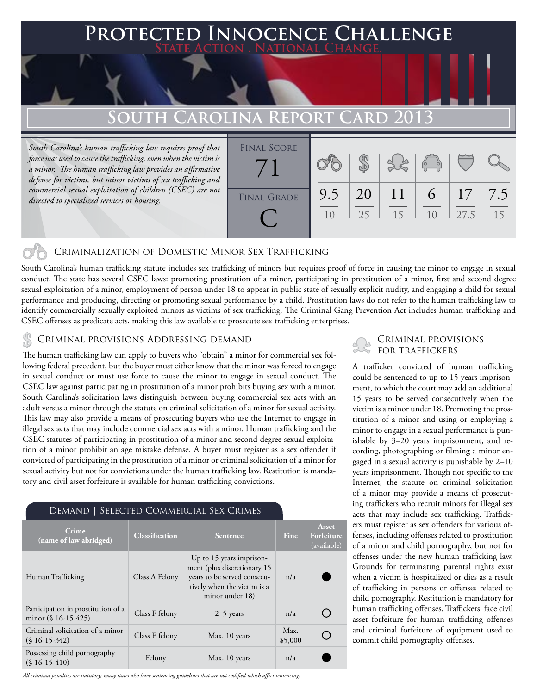### **PTED INNOCENCE CHALLENGE State Action . National Change.**

# **South Carolina Report Card 2013**

*South Carolina's human trafficking law requires proof that force was used to cause the trafficking, even when the victim is a minor. The human trafficking law provides an affirmative defense for victims, but minor victims of sex trafficking and commercial sexual exploitation of children (CSEC) are not directed to specialized services or housing.*



#### Criminalization of Domestic Minor Sex Trafficking

South Carolina's human trafficking statute includes sex trafficking of minors but requires proof of force in causing the minor to engage in sexual conduct. The state has several CSEC laws: promoting prostitution of a minor, participating in prostitution of a minor, first and second degree sexual exploitation of a minor, employment of person under 18 to appear in public state of sexually explicit nudity, and engaging a child for sexual performance and producing, directing or promoting sexual performance by a child. Prostitution laws do not refer to the human trafficking law to identify commercially sexually exploited minors as victims of sex trafficking. The Criminal Gang Prevention Act includes human trafficking and CSEC offenses as predicate acts, making this law available to prosecute sex trafficking enterprises.

#### Criminal provisions Addressing demand

The human trafficking law can apply to buyers who "obtain" a minor for commercial sex following federal precedent, but the buyer must either know that the minor was forced to engage in sexual conduct or must use force to cause the minor to engage in sexual conduct. The CSEC law against participating in prostitution of a minor prohibits buying sex with a minor. South Carolina's solicitation laws distinguish between buying commercial sex acts with an adult versus a minor through the statute on criminal solicitation of a minor for sexual activity. This law may also provide a means of prosecuting buyers who use the Internet to engage in illegal sex acts that may include commercial sex acts with a minor. Human trafficking and the CSEC statutes of participating in prostitution of a minor and second degree sexual exploitation of a minor prohibit an age mistake defense. A buyer must register as a sex offender if convicted of participating in the prostitution of a minor or criminal solicitation of a minor for sexual activity but not for convictions under the human trafficking law. Restitution is mandatory and civil asset forfeiture is available for human trafficking convictions.

#### Demand | Selected Commercial Sex Crimes

| Crime<br>(name of law abridged)                              | <b>Classification</b> | <b>Sentence</b>                                                                                                                          | <b>Fine</b>     | Asset<br>Forfeiture<br>(available) |  |
|--------------------------------------------------------------|-----------------------|------------------------------------------------------------------------------------------------------------------------------------------|-----------------|------------------------------------|--|
| Human Trafficking                                            | Class A Felony        | Up to 15 years imprison-<br>ment (plus discretionary 15<br>years to be served consecu-<br>tively when the victim is a<br>minor under 18) | n/a             |                                    |  |
| Participation in prostitution of a<br>minor $(\S 16-15-425)$ | Class F felony        | $2-5$ years                                                                                                                              | n/a             |                                    |  |
| Criminal solicitation of a minor<br>$(S16-15-342)$           | Class E felony        | Max. 10 years                                                                                                                            | Max.<br>\$5,000 |                                    |  |
| Possessing child pornography<br>$(S16-15-410)$               | Felony                | Max. 10 years                                                                                                                            | n/a             |                                    |  |

*All criminal penalties are statutory; many states also have sentencing guidelines that are not codified which affect sentencing.* 

#### Criminal provisions for traffickers

A trafficker convicted of human trafficking could be sentenced to up to 15 years imprisonment, to which the court may add an additional 15 years to be served consecutively when the victim is a minor under 18. Promoting the prostitution of a minor and using or employing a minor to engage in a sexual performance is punishable by 3–20 years imprisonment, and recording, photographing or filming a minor engaged in a sexual activity is punishable by 2–10 years imprisonment. Though not specific to the Internet, the statute on criminal solicitation of a minor may provide a means of prosecuting traffickers who recruit minors for illegal sex acts that may include sex trafficking. Traffickers must register as sex offenders for various offenses, including offenses related to prostitution of a minor and child pornography, but not for offenses under the new human trafficking law. Grounds for terminating parental rights exist when a victim is hospitalized or dies as a result of trafficking in persons or offenses related to child pornography. Restitution is mandatory for human trafficking offenses. Traffickers face civil asset forfeiture for human trafficking offenses and criminal forfeiture of equipment used to commit child pornography offenses.